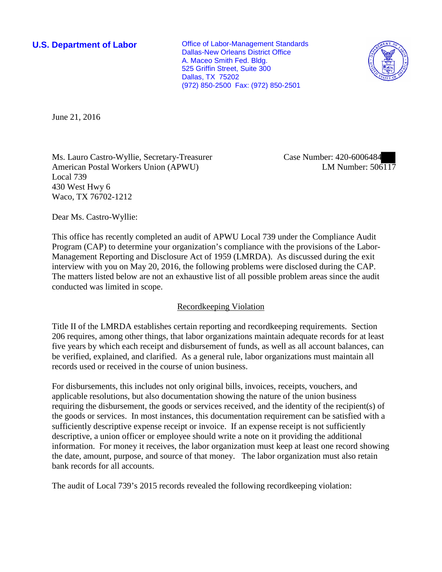**U.S. Department of Labor Conservative Conservative Conservative Conservative Conservative Conservative Conservative Conservative Conservative Conservative Conservative Conservative Conservative Conservative Conservative** Dallas-New Orleans District Office A. Maceo Smith Fed. Bldg. 525 Griffin Street, Suite 300 Dallas, TX 75202 (972) 850-2500 Fax: (972) 850-2501



June 21, 2016

Ms. Lauro Castro-Wyllie, Secretary-Treasurer American Postal Workers Union (APWU) Local 739 430 West Hwy 6 Waco, TX 76702-1212

Case Number: 420-6006484 LM Number: 506117

Dear Ms. Castro-Wyllie:

This office has recently completed an audit of APWU Local 739 under the Compliance Audit Program (CAP) to determine your organization's compliance with the provisions of the Labor-Management Reporting and Disclosure Act of 1959 (LMRDA). As discussed during the exit interview with you on May 20, 2016, the following problems were disclosed during the CAP. The matters listed below are not an exhaustive list of all possible problem areas since the audit conducted was limited in scope.

## Recordkeeping Violation

Title II of the LMRDA establishes certain reporting and recordkeeping requirements. Section 206 requires, among other things, that labor organizations maintain adequate records for at least five years by which each receipt and disbursement of funds, as well as all account balances, can be verified, explained, and clarified. As a general rule, labor organizations must maintain all records used or received in the course of union business.

For disbursements, this includes not only original bills, invoices, receipts, vouchers, and applicable resolutions, but also documentation showing the nature of the union business requiring the disbursement, the goods or services received, and the identity of the recipient(s) of the goods or services. In most instances, this documentation requirement can be satisfied with a sufficiently descriptive expense receipt or invoice. If an expense receipt is not sufficiently descriptive, a union officer or employee should write a note on it providing the additional information. For money it receives, the labor organization must keep at least one record showing the date, amount, purpose, and source of that money. The labor organization must also retain bank records for all accounts.

The audit of Local 739's 2015 records revealed the following recordkeeping violation: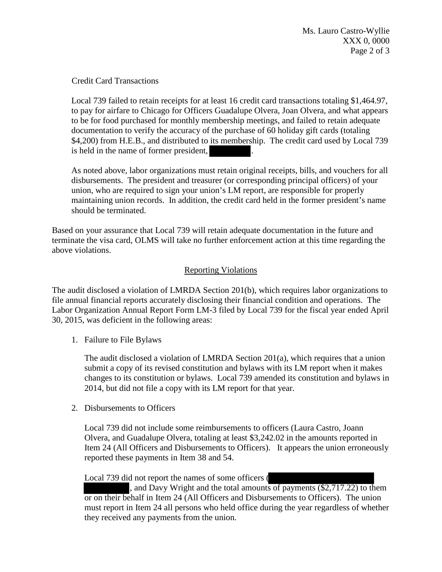## Credit Card Transactions

Local 739 failed to retain receipts for at least 16 credit card transactions totaling \$1,464.97, to pay for airfare to Chicago for Officers Guadalupe Olvera, Joan Olvera, and what appears to be for food purchased for monthly membership meetings, and failed to retain adequate documentation to verify the accuracy of the purchase of 60 holiday gift cards (totaling \$4,200) from H.E.B., and distributed to its membership. The credit card used by Local 739 is held in the name of former president,

As noted above, labor organizations must retain original receipts, bills, and vouchers for all disbursements. The president and treasurer (or corresponding principal officers) of your union, who are required to sign your union's LM report, are responsible for properly maintaining union records. In addition, the credit card held in the former president's name should be terminated.

Based on your assurance that Local 739 will retain adequate documentation in the future and terminate the visa card, OLMS will take no further enforcement action at this time regarding the above violations.

## Reporting Violations

The audit disclosed a violation of LMRDA Section 201(b), which requires labor organizations to file annual financial reports accurately disclosing their financial condition and operations. The Labor Organization Annual Report Form LM-3 filed by Local 739 for the fiscal year ended April 30, 2015, was deficient in the following areas:

1. Failure to File Bylaws

The audit disclosed a violation of LMRDA Section 201(a), which requires that a union submit a copy of its revised constitution and bylaws with its LM report when it makes changes to its constitution or bylaws. Local 739 amended its constitution and bylaws in 2014, but did not file a copy with its LM report for that year.

2. Disbursements to Officers

Local 739 did not include some reimbursements to officers (Laura Castro, Joann Olvera, and Guadalupe Olvera, totaling at least \$3,242.02 in the amounts reported in Item 24 (All Officers and Disbursements to Officers). It appears the union erroneously reported these payments in Item 38 and 54.

Local 739 did not report the names of some officers (

, and Davy Wright and the total amounts of payments (\$2,717.22) to them or on their behalf in Item 24 (All Officers and Disbursements to Officers). The union must report in Item 24 all persons who held office during the year regardless of whether they received any payments from the union.